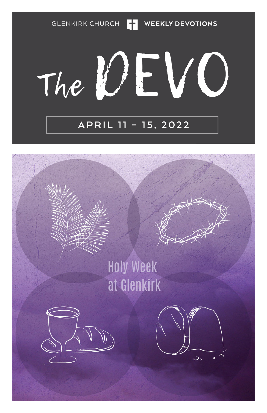GLENKIRK CHURCH **THE WEEKLY DEVOTIONS** 

VC The UL

### **APRIL 11 – 15, 2022**

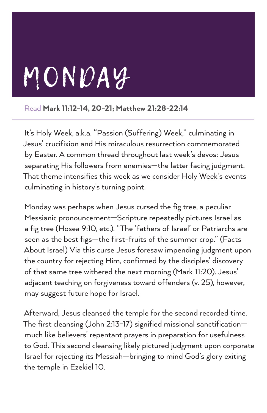# MONDAY

Read Mark 11:12-14, 20-21; Matthew 21:28-22:14

It's Holy Week, a.k.a. "Passion (Suffering) Week," culminating in Jesus' crucifixion and His miraculous resurrection commemorated by Easter. A common thread throughout last week's devos: Jesus separating His followers from enemies—the latter facing judgment. That theme intensifies this week as we consider Holy Week's events culminating in history's turning point.

Monday was perhaps when Jesus cursed the fig tree, a peculiar Messianic pronouncement—Scripture repeatedly pictures Israel as a fig tree (Hosea 9:10, etc.). "The 'fathers of Israel' or Patriarchs are seen as the best figs—the first-fruits of the summer crop." (Facts About Israel) Via this curse Jesus foresaw impending judgment upon the country for rejecting Him, confirmed by the disciples' discovery of that same tree withered the next morning (Mark 11:20). Jesus' adjacent teaching on forgiveness toward offenders (v. 25), however, may suggest future hope for Israel.

Afterward, Jesus cleansed the temple for the second recorded time. The first cleansing (John 2:13-17) signified missional sanctification much like believers' repentant prayers in preparation for usefulness to God. This second cleansing likely pictured judgment upon corporate Israel for rejecting its Messiah—bringing to mind God's glory exiting the temple in Ezekiel 10.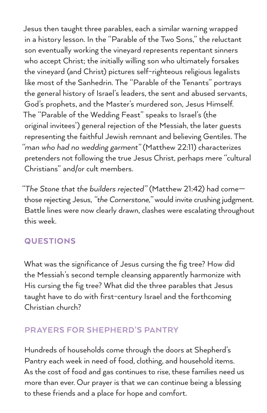Jesus then taught three parables, each a similar warning wrapped in a history lesson. In the "Parable of the Two Sons," the reluctant son eventually working the vineyard represents repentant sinners who accept Christ; the initially willing son who ultimately forsakes the vineyard (and Christ) pictures self-righteous religious legalists like most of the Sanhedrin. The "Parable of the Tenants" portrays the general history of Israel's leaders, the sent and abused servants, God's prophets, and the Master's murdered son, Jesus Himself. The "Parable of the Wedding Feast" speaks to Israel's (the original invitees') general rejection of the Messiah, the later guests representing the faithful Jewish remnant and believing Gentiles. The *"man who had no wedding garment"* (Matthew 22:11) characterizes pretenders not following the true Jesus Christ, perhaps mere "cultural Christians" and/or cult members.

*"The Stone that the builders rejected"* (Matthew 21:42) had come those rejecting Jesus, *"the Cornerstone,"* would invite crushing judgment. Battle lines were now clearly drawn, clashes were escalating throughout this week.

### **QUESTIONS**

What was the significance of Jesus cursing the fig tree? How did the Messiah's second temple cleansing apparently harmonize with His cursing the fig tree? What did the three parables that Jesus taught have to do with first-century Israel and the forthcoming Christian church?

### PRAYERS FOR SHEPHERD'S PANTRY

Hundreds of households come through the doors at Shepherd's Pantry each week in need of food, clothing, and household items. As the cost of food and gas continues to rise, these families need us more than ever. Our prayer is that we can continue being a blessing to these friends and a place for hope and comfort.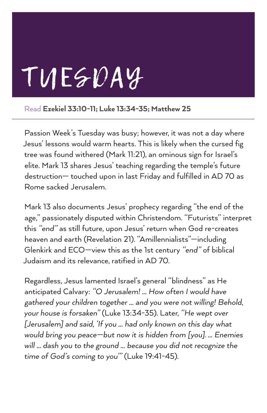# TUESDAY

Read Ezekiel 33:10-11; Luke 13:34-35; Matthew 25

Passion Week's Tuesday was busy; however, it was not a day where Jesus' lessons would warm hearts. This is likely when the cursed fig tree was found withered (Mark 11:21), an ominous sign for Israel's elite. Mark 13 shares Jesus' teaching regarding the temple's future destruction— touched upon in last Friday and fulfilled in AD 70 as Rome sacked Jerusalem.

Mark 13 also documents Jesus' prophecy regarding "the end of the age," passionately disputed within Christendom. "Futurists" interpret this *"end"* as still future, upon Jesus' return when God re-creates heaven and earth (Revelation 21). "Amillennialists"—including Glenkirk and ECO—view this as the 1st century *"end"* of biblical Judaism and its relevance, ratified in AD 70.

Regardless, Jesus lamented Israel's general "blindness" as He anticipated Calvary: *"O Jerusalem! … How often I would have gathered your children together … and you were not willing! Behold, your house is forsaken"* (Luke 13:34-35). Later, *"He wept over [Jerusalem] and said, 'If you … had only known on this day what would bring you peace—but now it is hidden from [you]. … Enemies will … dash you to the ground … because you did not recognize the time of God's coming to you'"* (Luke 19:41-45).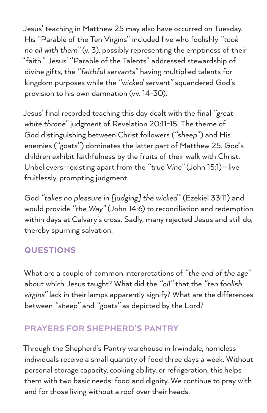Jesus' teaching in Matthew 25 may also have occurred on Tuesday. His "Parable of the Ten Virgins" included five who foolishly *"took no oil with them"* (v. 3), possibly representing the emptiness of their "faith." Jesus' "Parable of the Talents" addressed stewardship of divine gifts, the *"faithful servants"* having multiplied talents for kingdom purposes while the *"wicked servant"* squandered God's provision to his own damnation (vv. 14-30).

Jesus' final recorded teaching this day dealt with the final *"great white throne"* judgment of Revelation 20:11-15. The theme of God distinguishing between Christ followers (*"sheep"*) and His enemies (*"goats"*) dominates the latter part of Matthew 25. God's children exhibit faithfulness by the fruits of their walk with Christ. Unbelievers—existing apart from the *"true Vine"* (John 15:1)—live fruitlessly, prompting judgment.

God *"takes no pleasure in [judging] the wicked"* (Ezekiel 33:11) and would provide *"the Way"* (John 14:6) to reconciliation and redemption within days at Calvary's cross. Sadly, many rejected Jesus and still do, thereby spurning salvation.

#### **QUESTIONS**

What are a couple of common interpretations of *"the end of the age"* about which Jesus taught? What did the *"oil"* that the *"ten foolish virgins"* lack in their lamps apparently signify? What are the differences between *"sheep"* and *"goats"* as depicted by the Lord?

### PRAYERS FOR SHEPHERD'S PANTRY

Through the Shepherd's Pantry warehouse in Irwindale, homeless individuals receive a small quantity of food three days a week. Without personal storage capacity, cooking ability, or refrigeration, this helps them with two basic needs: food and dignity. We continue to pray with and for those living without a roof over their heads.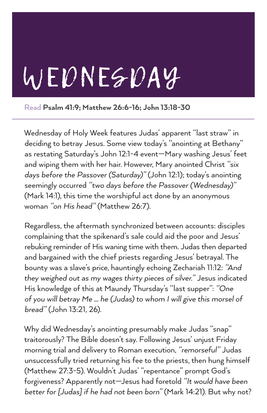# WEDNESDAY

Read Psalm 41:9; Matthew 26:6-16; John 13:18-30

Wednesday of Holy Week features Judas' apparent "last straw" in deciding to betray Jesus. Some view today's "anointing at Bethany" as restating Saturday's John 12:1-4 event—Mary washing Jesus' feet and wiping them with her hair. However, Mary anointed Christ *"six days before the Passover (Saturday)"* (John 12:1); today's anointing seemingly occurred *"two days before the Passover (Wednesday)"* (Mark 14:1), this time the worshipful act done by an anonymous woman *"on His head"* (Matthew 26:7).

Regardless, the aftermath synchronized between accounts: disciples complaining that the spikenard's sale could aid the poor and Jesus' rebuking reminder of His waning time with them. Judas then departed and bargained with the chief priests regarding Jesus' betrayal. The bounty was a slave's price, hauntingly echoing Zechariah 11:12: *"And they weighed out as my wages thirty pieces of silver."* Jesus indicated His knowledge of this at Maundy Thursday's "last supper": *"One of you will betray Me … he (Judas) to whom I will give this morsel of bread"* (John 13:21, 26).

Why did Wednesday's anointing presumably make Judas "snap" traitorously? The Bible doesn't say. Following Jesus' unjust Friday morning trial and delivery to Roman execution, *"remorseful"* Judas unsuccessfully tried returning his fee to the priests, then hung himself (Matthew 27:3-5). Wouldn't Judas' "repentance" prompt God's forgiveness? Apparently not—Jesus had foretold *"It would have been better for [Judas] if he had not been born"* (Mark 14:21). But why not?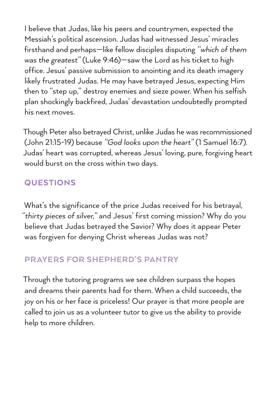I believe that Judas, like his peers and countrymen, expected the Messiah's political ascension. Judas had witnessed Jesus' miracles firsthand and perhaps—like fellow disciples disputing *"which of them was the greatest"* (Luke 9:46)—saw the Lord as his ticket to high office. Jesus' passive submission to anointing and its death imagery likely frustrated Judas. He may have betrayed Jesus, expecting Him then to "step up," destroy enemies and sieze power. When his selfish plan shockingly backfired, Judas' devastation undoubtedly prompted his next moves.

Though Peter also betrayed Christ, unlike Judas he was recommissioned (John 21:15-19) because *"God looks upon the heart"* (1 Samuel 16:7). Judas' heart was corrupted, whereas Jesus' loving, pure, forgiving heart would burst on the cross within two days.

### **QUESTIONS**

What's the significance of the price Judas received for his betrayal, *"thirty pieces of silver,"* and Jesus' first coming mission? Why do you believe that Judas betrayed the Savior? Why does it appear Peter was forgiven for denying Christ whereas Judas was not?

#### PRAYERS FOR SHEPHERD'S PANTRY

Through the tutoring programs we see children surpass the hopes and dreams their parents had for them. When a child succeeds, the joy on his or her face is priceless! Our prayer is that more people are called to join us as a volunteer tutor to give us the ability to provide help to more children.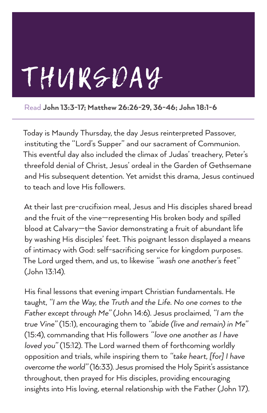# THURSDAY

Read John 13:3-17; Matthew 26:26-29, 36-46; John 18:1-6

Today is Maundy Thursday, the day Jesus reinterpreted Passover, instituting the "Lord's Supper" and our sacrament of Communion. This eventful day also included the climax of Judas' treachery, Peter's threefold denial of Christ, Jesus' ordeal in the Garden of Gethsemane and His subsequent detention. Yet amidst this drama, Jesus continued to teach and love His followers.

At their last pre-crucifixion meal, Jesus and His disciples shared bread and the fruit of the vine—representing His broken body and spilled blood at Calvary—the Savior demonstrating a fruit of abundant life by washing His disciples' feet. This poignant lesson displayed a means of intimacy with God: self-sacrificing service for kingdom purposes. The Lord urged them, and us, to likewise *"wash one another's feet"* (John 13:14).

His final lessons that evening impart Christian fundamentals. He taught, *"I am the Way, the Truth and the Life. No one comes to the Father except through Me"* (John 14:6). Jesus proclaimed, *"I am the true Vine"* (15:1), encouraging them to *"abide (live and remain) in Me"*  (15:4), commanding that His followers *"love one another as I have loved you"* (15:12). The Lord warned them of forthcoming worldly opposition and trials, while inspiring them to *"take heart, [for] I have overcome the world"* (16:33). Jesus promised the Holy Spirit's assistance throughout, then prayed for His disciples, providing encouraging insights into His loving, eternal relationship with the Father (John 17).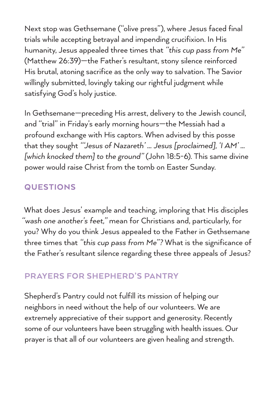Next stop was Gethsemane ("olive press"), where Jesus faced final trials while accepting betrayal and impending crucifixion. In His humanity, Jesus appealed three times that *"this cup pass from Me"* (Matthew 26:39)—the Father's resultant, stony silence reinforced His brutal, atoning sacrifice as the only way to salvation. The Savior willingly submitted, lovingly taking our rightful judgment while satisfying God's holy justice.

In Gethsemane—preceding His arrest, delivery to the Jewish council, and "trial" in Friday's early morning hours—the Messiah had a profound exchange with His captors. When advised by this posse that they sought *"'Jesus of Nazareth' … Jesus [proclaimed], 'I AM' … [which knocked them] to the ground"* (John 18:5-6). This same divine power would raise Christ from the tomb on Easter Sunday.

### **QUESTIONS**

What does Jesus' example and teaching, imploring that His disciples *"wash one another's feet,"* mean for Christians and, particularly, for you? Why do you think Jesus appealed to the Father in Gethsemane three times that *"this cup pass from Me"?* What is the significance of the Father's resultant silence regarding these three appeals of Jesus?

### PRAYERS FOR SHEPHERD'S PANTRY

Shepherd's Pantry could not fulfill its mission of helping our neighbors in need without the help of our volunteers. We are extremely appreciative of their support and generosity. Recently some of our volunteers have been struggling with health issues. Our prayer is that all of our volunteers are given healing and strength.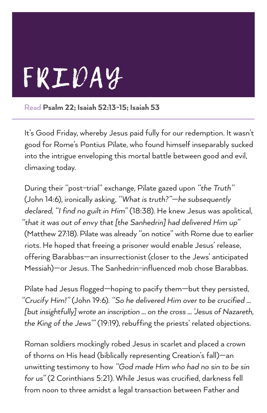

Read Psalm 22; Isaiah 52:13-15; Isaiah 53

It's Good Friday, whereby Jesus paid fully for our redemption. It wasn't good for Rome's Pontius Pilate, who found himself inseparably sucked into the intrigue enveloping this mortal battle between good and evil, climaxing today.

During their "post-trial" exchange, Pilate gazed upon *"the Truth"* (John 14:6), ironically asking, *"What is truth?"—he subsequently declared, "I find no guilt in Him"* (18:38). He knew Jesus was apolitical, *"that it was out of envy that [the Sanhedrin] had delivered Him up"*  (Matthew 27:18). Pilate was already "on notice" with Rome due to earlier riots. He hoped that freeing a prisoner would enable Jesus' release, offering Barabbas—an insurrectionist (closer to the Jews' anticipated Messiah)—or Jesus. The Sanhedrin-influenced mob chose Barabbas.

Pilate had Jesus flogged—hoping to pacify them—but they persisted, *"Crucify Him!"* (John 19:6). *"So he delivered Him over to be crucified … [but insightfully] wrote an inscription … on the cross … 'Jesus of Nazareth, the King of the Jews'"* (19:19), rebuffing the priests' related objections.

Roman soldiers mockingly robed Jesus in scarlet and placed a crown of thorns on His head (biblically representing Creation's fall)—an unwitting testimony to how *"God made Him who had no sin to be sin for us"* (2 Corinthians 5:21). While Jesus was crucified, darkness fell from noon to three amidst a legal transaction between Father and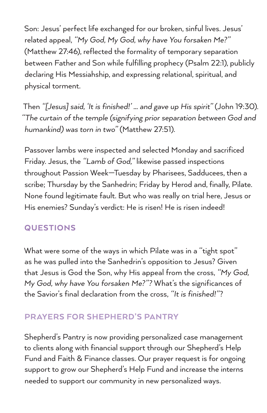Son: Jesus' perfect life exchanged for our broken, sinful lives. Jesus' related appeal, *"My God, My God, why have You forsaken Me?"*  (Matthew 27:46), reflected the formality of temporary separation between Father and Son while fulfilling prophecy (Psalm 22:1), publicly declaring His Messiahship, and expressing relational, spiritual, and physical torment.

Then *"[Jesus] said, 'It is finished!' … and gave up His spirit"* (John 19:30). *"The curtain of the temple (signifying prior separation between God and humankind) was torn in two"* (Matthew 27:51).

Passover lambs were inspected and selected Monday and sacrificed Friday. Jesus, the *"Lamb of God,"* likewise passed inspections throughout Passion Week—Tuesday by Pharisees, Sadducees, then a scribe; Thursday by the Sanhedrin; Friday by Herod and, finally, Pilate. None found legitimate fault. But who was really on trial here, Jesus or His enemies? Sunday's verdict: He is risen! He is risen indeed!

#### QUESTIONS

What were some of the ways in which Pilate was in a "tight spot" as he was pulled into the Sanhedrin's opposition to Jesus? Given that Jesus is God the Son, why His appeal from the cross, *"My God, My God, why have You forsaken Me?"?* What's the significances of the Savior's final declaration from the cross, *"It is finished!"*?

### PRAYERS FOR SHEPHERD'S PANTRY

Shepherd's Pantry is now providing personalized case management to clients along with financial support through our Shepherd's Help Fund and Faith & Finance classes. Our prayer request is for ongoing support to grow our Shepherd's Help Fund and increase the interns needed to support our community in new personalized ways.